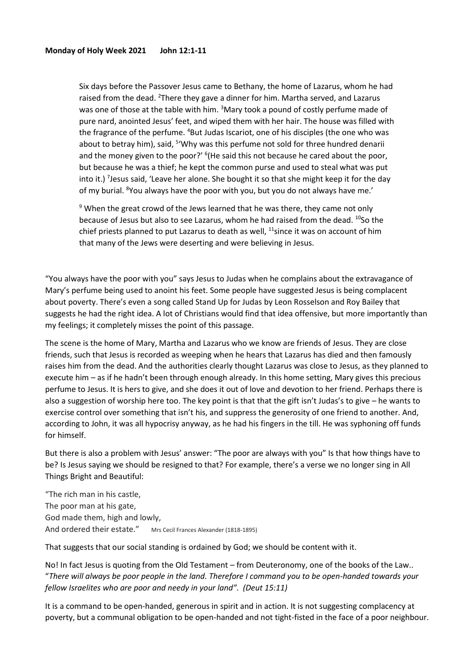Six days before the Passover Jesus came to Bethany, the home of Lazarus, whom he had raised from the dead. <sup>2</sup>There they gave a dinner for him. Martha served, and Lazarus was one of those at the table with him.  $3$ Mary took a pound of costly perfume made of pure nard, anointed Jesus' feet, and wiped them with her hair. The house was filled with the fragrance of the perfume. <sup>4</sup>But Judas Iscariot, one of his disciples (the one who was about to betray him), said, <sup>5</sup>'Why was this perfume not sold for three hundred denarii and the money given to the poor?' <sup>6</sup>(He said this not because he cared about the poor, but because he was a thief; he kept the common purse and used to steal what was put into it.)<sup>7</sup> Jesus said, 'Leave her alone. She bought it so that she might keep it for the day of my burial. <sup>8</sup>You always have the poor with you, but you do not always have me.'

 $9$  When the great crowd of the Jews learned that he was there, they came not only because of Jesus but also to see Lazarus, whom he had raised from the dead. <sup>10</sup>So the chief priests planned to put Lazarus to death as well,  $11$ since it was on account of him that many of the Jews were deserting and were believing in Jesus.

"You always have the poor with you" says Jesus to Judas when he complains about the extravagance of Mary's perfume being used to anoint his feet. Some people have suggested Jesus is being complacent about poverty. There's even a song called Stand Up for Judas by Leon Rosselson and Roy Bailey that suggests he had the right idea. A lot of Christians would find that idea offensive, but more importantly than my feelings; it completely misses the point of this passage.

The scene is the home of Mary, Martha and Lazarus who we know are friends of Jesus. They are close friends, such that Jesus is recorded as weeping when he hears that Lazarus has died and then famously raises him from the dead. And the authorities clearly thought Lazarus was close to Jesus, as they planned to execute him – as if he hadn't been through enough already. In this home setting, Mary gives this precious perfume to Jesus. It is hers to give, and she does it out of love and devotion to her friend. Perhaps there is also a suggestion of worship here too. The key point is that that the gift isn't Judas's to give – he wants to exercise control over something that isn't his, and suppress the generosity of one friend to another. And, according to John, it was all hypocrisy anyway, as he had his fingers in the till. He was syphoning off funds for himself.

But there is also a problem with Jesus' answer: "The poor are always with you" Is that how things have to be? Is Jesus saying we should be resigned to that? For example, there's a verse we no longer sing in All Things Bright and Beautiful:

"The rich man in his castle, The poor man at his gate, God made them, high and lowly, And ordered their estate." Mrs Cecil Frances Alexander (1818-1895)

That suggests that our social standing is ordained by God; we should be content with it.

No! In fact Jesus is quoting from the Old Testament – from Deuteronomy, one of the books of the Law.. "*There will always be poor people in the land. Therefore I command you to be open-handed towards your fellow Israelites who are poor and needy in your land". (Deut 15:11)*

It is a command to be open-handed, generous in spirit and in action. It is not suggesting complacency at poverty, but a communal obligation to be open-handed and not tight-fisted in the face of a poor neighbour.